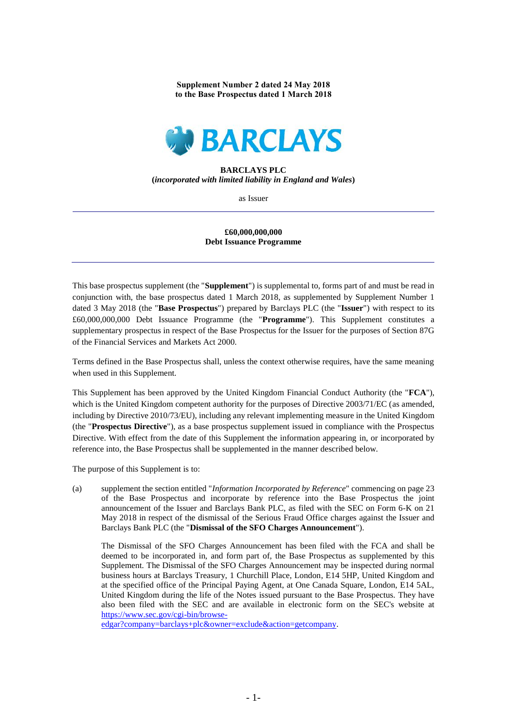**Supplement Number 2 dated 24 May 2018 to the Base Prospectus dated 1 March 2018**



## **BARCLAYS PLC (***incorporated with limited liability in England and Wales***)**

as Issuer

## **£60,000,000,000 Debt Issuance Programme**

This base prospectus supplement (the "**Supplement**") is supplemental to, forms part of and must be read in conjunction with, the base prospectus dated 1 March 2018, as supplemented by Supplement Number 1 dated 3 May 2018 (the "**Base Prospectus**") prepared by Barclays PLC (the "**Issuer**") with respect to its £60,000,000,000 Debt Issuance Programme (the "**Programme**"). This Supplement constitutes a supplementary prospectus in respect of the Base Prospectus for the Issuer for the purposes of Section 87G of the Financial Services and Markets Act 2000.

Terms defined in the Base Prospectus shall, unless the context otherwise requires, have the same meaning when used in this Supplement.

This Supplement has been approved by the United Kingdom Financial Conduct Authority (the "**FCA**"), which is the United Kingdom competent authority for the purposes of Directive 2003/71/EC (as amended, including by Directive 2010/73/EU), including any relevant implementing measure in the United Kingdom (the "**Prospectus Directive**"), as a base prospectus supplement issued in compliance with the Prospectus Directive. With effect from the date of this Supplement the information appearing in, or incorporated by reference into, the Base Prospectus shall be supplemented in the manner described below.

The purpose of this Supplement is to:

(a) supplement the section entitled "*Information Incorporated by Reference*" commencing on page 23 of the Base Prospectus and incorporate by reference into the Base Prospectus the joint announcement of the Issuer and Barclays Bank PLC, as filed with the SEC on Form 6-K on 21 May 2018 in respect of the dismissal of the Serious Fraud Office charges against the Issuer and Barclays Bank PLC (the "**Dismissal of the SFO Charges Announcement**").

The Dismissal of the SFO Charges Announcement has been filed with the FCA and shall be deemed to be incorporated in, and form part of, the Base Prospectus as supplemented by this Supplement. The Dismissal of the SFO Charges Announcement may be inspected during normal business hours at Barclays Treasury, 1 Churchill Place, London, E14 5HP, United Kingdom and at the specified office of the Principal Paying Agent, at One Canada Square, London, E14 5AL, United Kingdom during the life of the Notes issued pursuant to the Base Prospectus. They have also been filed with the SEC and are available in electronic form on the SEC's website at [https://www.sec.gov/cgi-bin/browse-](https://www.sec.gov/cgi-bin/browse-edgar?company=barclays+plc&owner=exclude&action=getcompany)

[edgar?company=barclays+plc&owner=exclude&action=getcompany.](https://www.sec.gov/cgi-bin/browse-edgar?company=barclays+plc&owner=exclude&action=getcompany)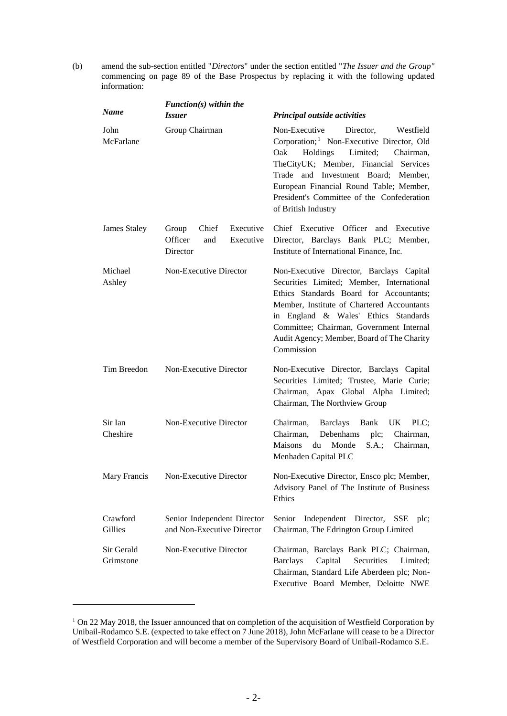(b) amend the sub-section entitled "*Director*s" under the section entitled "*The Issuer and the Group"* commencing on page 89 of the Base Prospectus by replacing it with the following updated information:

| <b>Name</b>             | $Function(s)$ within the                                               |                                                                                                                                                                                                                                                                                                                                           |
|-------------------------|------------------------------------------------------------------------|-------------------------------------------------------------------------------------------------------------------------------------------------------------------------------------------------------------------------------------------------------------------------------------------------------------------------------------------|
|                         | <i>Issuer</i>                                                          | Principal outside activities                                                                                                                                                                                                                                                                                                              |
| John<br>McFarlane       | Group Chairman                                                         | Non-Executive<br>Director,<br>Westfield<br>Corporation; <sup>1</sup> Non-Executive Director, Old<br>Holdings Limited; Chairman,<br>Oak<br>TheCityUK; Member, Financial Services<br>Trade<br>and Investment Board; Member,<br>European Financial Round Table; Member,<br>President's Committee of the Confederation<br>of British Industry |
| James Staley            | Executive<br>Chief<br>Group<br>Officer<br>Executive<br>and<br>Director | Chief Executive Officer and Executive<br>Director, Barclays Bank PLC; Member,<br>Institute of International Finance, Inc.                                                                                                                                                                                                                 |
| Michael<br>Ashley       | Non-Executive Director                                                 | Non-Executive Director, Barclays Capital<br>Securities Limited; Member, International<br>Ethics Standards Board for Accountants;<br>Member, Institute of Chartered Accountants<br>in England & Wales' Ethics Standards<br>Committee; Chairman, Government Internal<br>Audit Agency; Member, Board of The Charity<br>Commission            |
| Tim Breedon             | Non-Executive Director                                                 | Non-Executive Director, Barclays Capital<br>Securities Limited; Trustee, Marie Curie;<br>Chairman, Apax Global Alpha Limited;<br>Chairman, The Northview Group                                                                                                                                                                            |
| Sir Ian<br>Cheshire     | Non-Executive Director                                                 | Chairman,<br><b>Barclays</b><br>Bank<br>UK PLC:<br>Debenhams<br>plc;<br>Chairman,<br>Chairman,<br>Maisons<br>du<br>Monde<br>S.A.;<br>Chairman,<br>Menhaden Capital PLC                                                                                                                                                                    |
|                         | Mary Francis Non-Executive Director                                    | Non-Executive Director, Ensco plc; Member,<br>Advisory Panel of The Institute of Business<br>Ethics                                                                                                                                                                                                                                       |
| Crawford<br>Gillies     | Senior Independent Director<br>and Non-Executive Director              | Independent Director, SSE<br>Senior<br>plc;<br>Chairman, The Edrington Group Limited                                                                                                                                                                                                                                                      |
| Sir Gerald<br>Grimstone | Non-Executive Director                                                 | Chairman, Barclays Bank PLC; Chairman,<br><b>Barclays</b><br>Capital<br>Securities<br>Limited;<br>Chairman, Standard Life Aberdeen plc; Non-<br>Executive Board Member, Deloitte NWE                                                                                                                                                      |

<sup>&</sup>lt;sup>1</sup> On 22 May 2018, the Issuer announced that on completion of the acquisition of Westfield Corporation by Unibail-Rodamco S.E. (expected to take effect on 7 June 2018), John McFarlane will cease to be a Director of Westfield Corporation and will become a member of the Supervisory Board of Unibail-Rodamco S.E.

-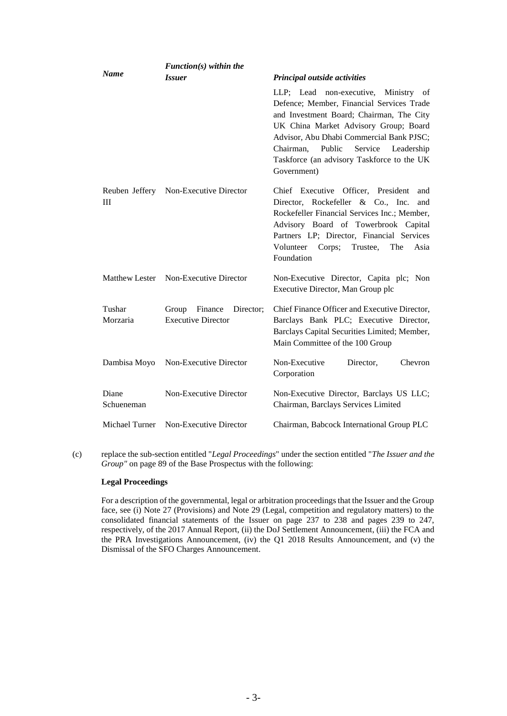|                     | $Function(s)$ within the                                   |                                                                                                                                                                                                                                                                                                                                 |
|---------------------|------------------------------------------------------------|---------------------------------------------------------------------------------------------------------------------------------------------------------------------------------------------------------------------------------------------------------------------------------------------------------------------------------|
| <b>Name</b>         | <i><b>Issuer</b></i>                                       | Principal outside activities                                                                                                                                                                                                                                                                                                    |
|                     |                                                            | LLP; Lead non-executive, Ministry of<br>Defence; Member, Financial Services Trade<br>and Investment Board; Chairman, The City<br>UK China Market Advisory Group; Board<br>Advisor, Abu Dhabi Commercial Bank PJSC;<br>Service<br>Chairman,<br>Public<br>Leadership<br>Taskforce (an advisory Taskforce to the UK<br>Government) |
| III                 | Reuben Jeffery Non-Executive Director                      | Chief Executive Officer, President<br>and<br>Director, Rockefeller & Co., Inc.<br>and<br>Rockefeller Financial Services Inc.; Member,<br>Advisory Board of Towerbrook Capital<br>Partners LP; Director, Financial Services<br>Volunteer<br>Corps;<br>Trustee,<br>The<br>Asia<br>Foundation                                      |
|                     | Matthew Lester Non-Executive Director                      | Non-Executive Director, Capita plc; Non<br>Executive Director, Man Group plc                                                                                                                                                                                                                                                    |
| Tushar<br>Morzaria  | Finance<br>Director;<br>Group<br><b>Executive Director</b> | Chief Finance Officer and Executive Director,<br>Barclays Bank PLC; Executive Director,<br>Barclays Capital Securities Limited; Member,<br>Main Committee of the 100 Group                                                                                                                                                      |
| Dambisa Moyo        | Non-Executive Director                                     | Non-Executive<br>Director,<br>Chevron<br>Corporation                                                                                                                                                                                                                                                                            |
| Diane<br>Schueneman | Non-Executive Director                                     | Non-Executive Director, Barclays US LLC;<br>Chairman, Barclays Services Limited                                                                                                                                                                                                                                                 |
| Michael Turner      | Non-Executive Director                                     | Chairman, Babcock International Group PLC                                                                                                                                                                                                                                                                                       |

(c) replace the sub-section entitled "*Legal Proceedings*" under the section entitled "*The Issuer and the Group"* on page 89 of the Base Prospectus with the following:

## **Legal Proceedings**

For a description of the governmental, legal or arbitration proceedings that the Issuer and the Group face, see (i) Note 27 (Provisions) and Note 29 (Legal, competition and regulatory matters) to the consolidated financial statements of the Issuer on page 237 to 238 and pages 239 to 247, respectively, of the 2017 Annual Report, (ii) the DoJ Settlement Announcement, (iii) the FCA and the PRA Investigations Announcement, (iv) the Q1 2018 Results Announcement, and (v) the Dismissal of the SFO Charges Announcement.